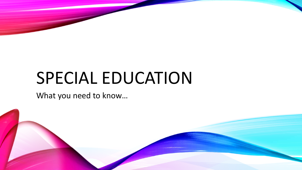# SPECIAL EDUCATION

What you need to know…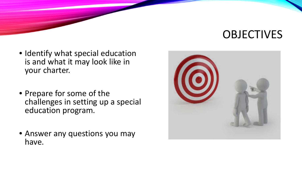# **OBJECTIVES**

- Identify what special education is and what it may look like in your charter.
- Prepare for some of the challenges in setting up a special education program.
- Answer any questions you may have.

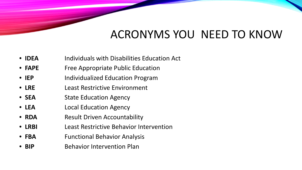# ACRONYMS YOU NEED TO KNOW

- **IDEA** Individuals with Disabilities Education Act
- **FAPE** Free Appropriate Public Education
- **IEP** Individualized Education Program
- **LRE** Least Restrictive Environment
- **SEA** State Education Agency
- **LEA** Local Education Agency
- **RDA** Result Driven Accountability
- **LRBI** Least Restrictive Behavior Intervention
- **FBA** Functional Behavior Analysis
- **BIP** Behavior Intervention Plan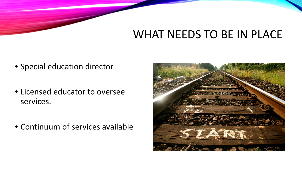# WHAT NEEDS TO BE IN PLACE

- Special education director
- Licensed educator to oversee services.
- Continuum of services available

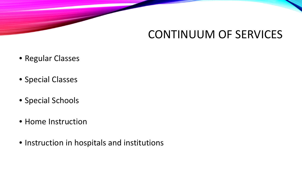### CONTINUUM OF SERVICES

- Regular Classes
- Special Classes
- Special Schools
- Home Instruction
- Instruction in hospitals and institutions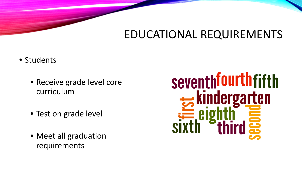## EDUCATIONAL REQUIREMENTS

- Students
	- Receive grade level core curriculum
	- Test on grade level
	- Meet all graduation requirements

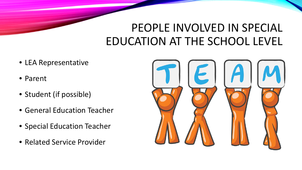# PEOPLE INVOLVED IN SPECIAL EDUCATION AT THE SCHOOL LEVEL

- LEA Representative
- Parent
- Student (if possible)
- General Education Teacher
- Special Education Teacher
- Related Service Provider

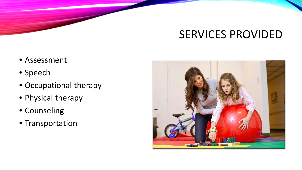# SERVICES PROVIDED

- Assessment
- Speech
- Occupational therapy
- Physical therapy
- Counseling
- Transportation

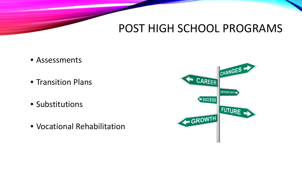#### POST HIGH SCHOOL PROGRAMS

- Assessments
- Transition Plans
- Substitutions
- Vocational Rehabilitation

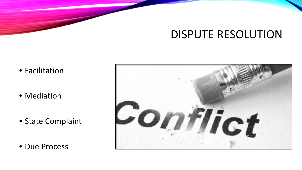#### DISPUTE RESOLUTION

- Facilitation
- Mediation
- State Complaint
- Due Process

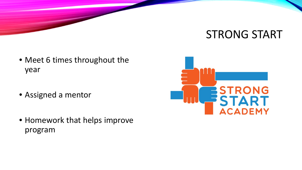#### STRONG START

- Meet 6 times throughout the year
- Assigned a mentor
- Homework that helps improve program

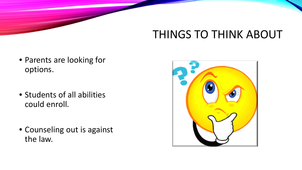# THINGS TO THINK ABOUT

- Parents are looking for options.
- Students of all abilities could enroll.
- Counseling out is against the law.